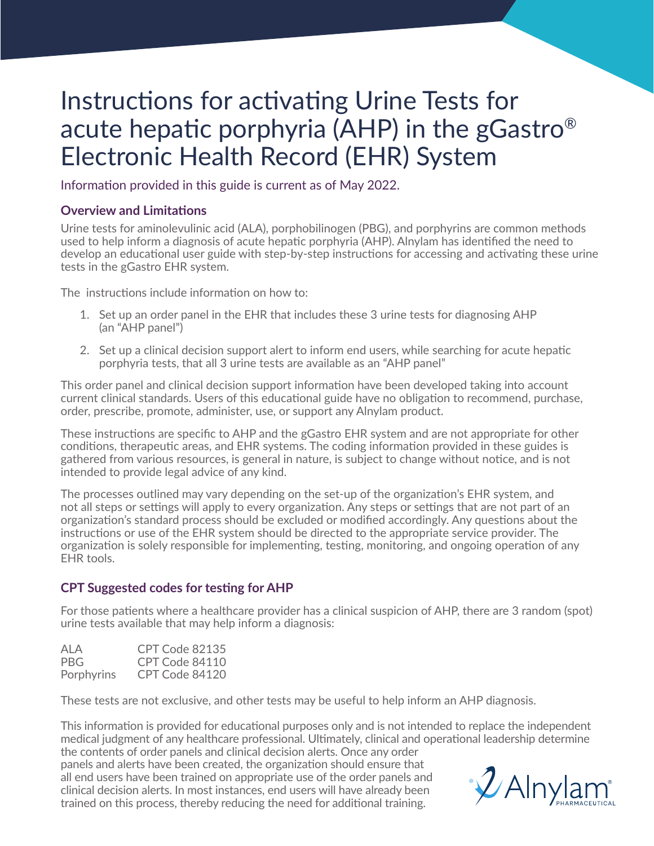## Instructions for activating Urine Tests for acute hepatic porphyria (AHP) in the gGastro® Electronic Health Record (EHR) System

Information provided in this guide is current as of May 2022.

#### **Overview and Limitations**

Urine tests for aminolevulinic acid (ALA), porphobilinogen (PBG), and porphyrins are common methods used to help inform a diagnosis of acute hepatic porphyria (AHP). Alnylam has identified the need to develop an educational user guide with step-by-step instructions for accessing and activating these urine tests in the gGastro EHR system.

The instructions include information on how to:

- 1. Set up an order panel in the EHR that includes these 3 urine tests for diagnosing AHP (an "AHP panel")
- 2. Set up a clinical decision support alert to inform end users, while searching for acute hepatic porphyria tests, that all 3 urine tests are available as an "AHP panel"

This order panel and clinical decision support information have been developed taking into account current clinical standards. Users of this educational guide have no obligation to recommend, purchase, order, prescribe, promote, administer, use, or support any Alnylam product.

These instructions are specific to AHP and the gGastro EHR system and are not appropriate for other conditions, therapeutic areas, and EHR systems. The coding information provided in these guides is gathered from various resources, is general in nature, is subject to change without notice, and is not intended to provide legal advice of any kind.

The processes outlined may vary depending on the set-up of the organization's EHR system, and not all steps or settings will apply to every organization. Any steps or settings that are not part of an organization's standard process should be excluded or modified accordingly. Any questions about the instructions or use of the EHR system should be directed to the appropriate service provider. The organization is solely responsible for implementing, testing, monitoring, and ongoing operation of any EHR tools.

#### **CPT Suggested codes for testing for AHP**

For those patients where a healthcare provider has a clinical suspicion of AHP, there are 3 random (spot) urine tests available that may help inform a diagnosis:

| ALA        | CPT Code 82135 |
|------------|----------------|
| PBG.       | CPT Code 84110 |
| Porphyrins | CPT Code 84120 |

These tests are not exclusive, and other tests may be useful to help inform an AHP diagnosis.

This information is provided for educational purposes only and is not intended to replace the independent medical judgment of any healthcare professional. Ultimately, clinical and operational leadership determine the contents of order panels and clinical decision alerts. Once any order

panels and alerts have been created, the organization should ensure that all end users have been trained on appropriate use of the order panels and clinical decision alerts. In most instances, end users will have already been trained on this process, thereby reducing the need for additional training.

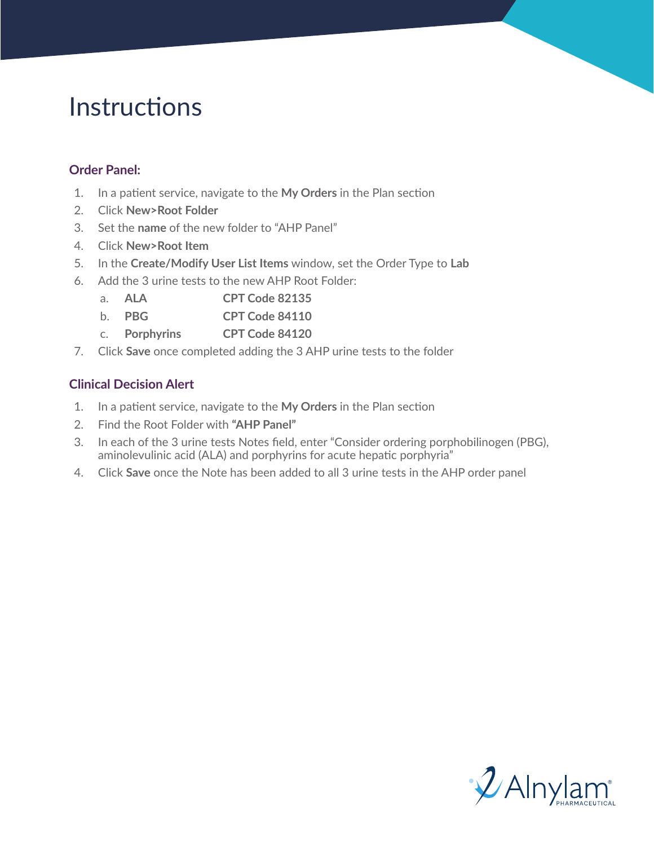# Instructions

### **Order Panel:**

- 1. In a patient service, navigate to the **My Orders** in the Plan section
- 2. Click **New>Root Folder**
- 3. Set the **name** of the new folder to "AHP Panel"
- 4. Click **New>Root Item**
- 5. In the **Create/Modify User List Items** window, set the Order Type to **Lab**
- 6. Add the 3 urine tests to the new AHP Root Folder:
	- a. **ALA CPT Code 82135**
	- b. **PBG CPT Code 84110**
	- c. **Porphyrins CPT Code 84120**
- 7. Click **Save** once completed adding the 3 AHP urine tests to the folder

### **Clinical Decision Alert**

- 1. In a patient service, navigate to the **My Orders** in the Plan section
- 2. Find the Root Folder with **"AHP Panel"**
- 3. In each of the 3 urine tests Notes field, enter "Consider ordering porphobilinogen (PBG), aminolevulinic acid (ALA) and porphyrins for acute hepatic porphyria"
- 4. Click **Save** once the Note has been added to all 3 urine tests in the AHP order panel